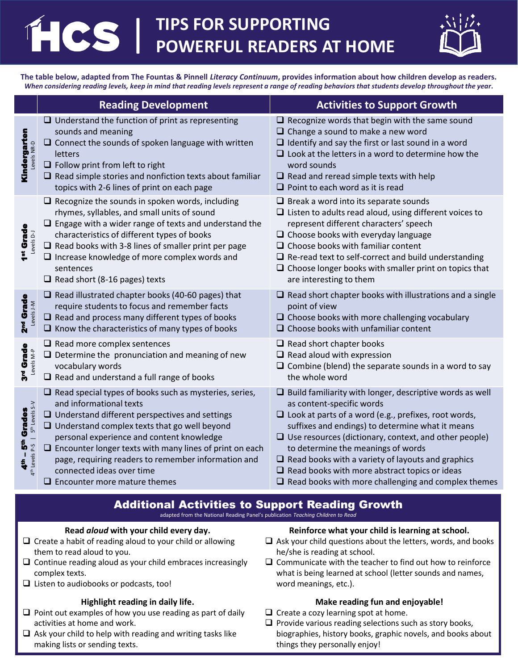# **CS TIPS FOR SUPPORTING POWERFUL READERS AT HOME**



**The table below, adapted from The Fountas & Pinnell** *Literacy Continuum***, provides information about how children develop as readers.**  *When considering reading levels, keep in mind that reading levels represent a range of reading behaviors that students develop throughout the year***.**

|                                                                                | <b>Reading Development</b>                                                                                                                                                                                                                                                                                                                                                                                                                         | <b>Activities to Support Growth</b>                                                                                                                                                                                                                                                                                                                                                                                                                                                                     |
|--------------------------------------------------------------------------------|----------------------------------------------------------------------------------------------------------------------------------------------------------------------------------------------------------------------------------------------------------------------------------------------------------------------------------------------------------------------------------------------------------------------------------------------------|---------------------------------------------------------------------------------------------------------------------------------------------------------------------------------------------------------------------------------------------------------------------------------------------------------------------------------------------------------------------------------------------------------------------------------------------------------------------------------------------------------|
| Kindergarten<br>Levels NR-D                                                    | $\Box$ Understand the function of print as representing<br>sounds and meaning<br>$\Box$ Connect the sounds of spoken language with written<br>letters<br>$\Box$ Follow print from left to right<br>$\Box$ Read simple stories and nonfiction texts about familiar<br>topics with 2-6 lines of print on each page                                                                                                                                   | $\Box$ Recognize words that begin with the same sound<br>$\Box$ Change a sound to make a new word<br>$\Box$ Identify and say the first or last sound in a word<br>$\Box$ Look at the letters in a word to determine how the<br>word sounds<br>$\Box$ Read and reread simple texts with help<br>$\Box$ Point to each word as it is read                                                                                                                                                                  |
| 1 <sup>st</sup> Grade<br>Levels D-J                                            | $\Box$ Recognize the sounds in spoken words, including<br>rhymes, syllables, and small units of sound<br>$\Box$ Engage with a wider range of texts and understand the<br>characteristics of different types of books<br>$\Box$ Read books with 3-8 lines of smaller print per page<br>$\Box$ Increase knowledge of more complex words and<br>sentences<br>$\Box$ Read short (8-16 pages) texts                                                     | $\Box$ Break a word into its separate sounds<br>$\Box$ Listen to adults read aloud, using different voices to<br>represent different characters' speech<br>$\Box$ Choose books with everyday language<br>$\Box$ Choose books with familiar content<br>$\Box$ Re-read text to self-correct and build understanding<br>$\Box$ Choose longer books with smaller print on topics that<br>are interesting to them                                                                                            |
| 2 <sup>nd</sup> Grade<br>Levels J-M                                            | $\Box$ Read illustrated chapter books (40-60 pages) that<br>require students to focus and remember facts<br>$\Box$ Read and process many different types of books<br>$\Box$ Know the characteristics of many types of books                                                                                                                                                                                                                        | $\Box$ Read short chapter books with illustrations and a single<br>point of view<br>$\Box$ Choose books with more challenging vocabulary<br>$\Box$ Choose books with unfamiliar content                                                                                                                                                                                                                                                                                                                 |
| 3 <sup>rd</sup> Grade<br>Levels M-P                                            | $\Box$ Read more complex sentences<br>$\Box$ Determine the pronunciation and meaning of new<br>vocabulary words<br>$\Box$ Read and understand a full range of books                                                                                                                                                                                                                                                                                | $\Box$ Read short chapter books<br>$\Box$ Read aloud with expression<br>$\Box$ Combine (blend) the separate sounds in a word to say<br>the whole word                                                                                                                                                                                                                                                                                                                                                   |
| 4th Levels P-S   5th Levels S-V<br>- 5 <sup>th</sup> Grades<br>4 <sup>th</sup> | $\Box$ Read special types of books such as mysteries, series,<br>and informational texts<br>$\Box$ Understand different perspectives and settings<br>$\Box$ Understand complex texts that go well beyond<br>personal experience and content knowledge<br>$\Box$ Encounter longer texts with many lines of print on each<br>page, requiring readers to remember information and<br>connected ideas over time<br>$\Box$ Encounter more mature themes | $\Box$ Build familiarity with longer, descriptive words as well<br>as content-specific words<br>$\Box$ Look at parts of a word (e.g., prefixes, root words,<br>suffixes and endings) to determine what it means<br>$\Box$ Use resources (dictionary, context, and other people)<br>to determine the meanings of words<br>$\Box$ Read books with a variety of layouts and graphics<br>$\Box$ Read books with more abstract topics or ideas<br>$\Box$ Read books with more challenging and complex themes |

#### Additional Activities to Support Reading Growth adapted from the National Reading Panel's publication *Teaching Children to Read*

#### **Read** *aloud* **with your child every day.**

- $\square$  Create a habit of reading aloud to your child or allowing them to read aloud to you.
- $\Box$  Continue reading aloud as your child embraces increasingly complex texts.
- $\Box$  Listen to audiobooks or podcasts, too!

## **Highlight reading in daily life.**

- $\Box$  Point out examples of how you use reading as part of daily activities at home and work.
- $\Box$  Ask your child to help with reading and writing tasks like making lists or sending texts.

## **Reinforce what your child is learning at school.**

- $\Box$  Ask your child questions about the letters, words, and books he/she is reading at school.
- $\square$  Communicate with the teacher to find out how to reinforce what is being learned at school (letter sounds and names, word meanings, etc.).

#### **Make reading fun and enjoyable!**

- $\Box$  Create a cozy learning spot at home.
- $\square$  Provide various reading selections such as story books, biographies, history books, graphic novels, and books about things they personally enjoy!